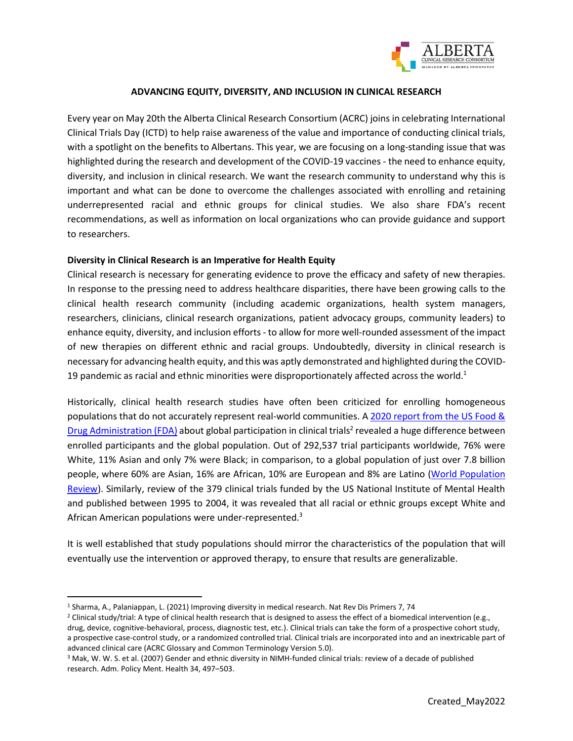

## **ADVANCING EQUITY, DIVERSITY, AND INCLUSION IN CLINICAL RESEARCH**

Every year on May 20th the Alberta Clinical Research Consortium (ACRC) joins in celebrating International Clinical Trials Day (ICTD) to help raise awareness of the value and importance of conducting clinical trials, with a spotlight on the benefits to Albertans. This year, we are focusing on a long-standing issue that was highlighted during the research and development of the COVID-19 vaccines - the need to enhance equity, diversity, and inclusion in clinical research. We want the research community to understand why this is important and what can be done to overcome the challenges associated with enrolling and retaining underrepresented racial and ethnic groups for clinical studies. We also share FDA's recent recommendations, as well as information on local organizations who can provide guidance and support to researchers.

### **Diversity in Clinical Research is an Imperative for Health Equity**

Clinical research is necessary for generating evidence to prove the efficacy and safety of new therapies. In response to the pressing need to address healthcare disparities, there have been growing calls to the clinical health research community (including academic organizations, health system managers, researchers, clinicians, clinical research organizations, patient advocacy groups, community leaders) to enhance equity, diversity, and inclusion efforts - to allow for more well-rounded assessment of the impact of new therapies on different ethnic and racial groups. Undoubtedly, diversity in clinical research is necessary for advancing health equity, and this was aptly demonstrated and highlighted during the COVID-19 pandemic as racial and ethnic minorities were disproportionately affected across the world. $1$ 

Historically, clinical health research studies have often been criticized for enrolling homogeneous populations that do not accurately represent real-world communities. A 2020 report from the US Food & [Drug Administration \(FDA\)](https://www.fda.gov/media/143592/download%20(2020)) about global participation in clinical trials<sup>2</sup> revealed a huge difference between enrolled participants and the global population. Out of 292,537 trial participants worldwide, 76% were White, 11% Asian and only 7% were Black; in comparison, to a global population of just over 7.8 billion people, where 60% are Asian, 16% are African, 10% are European and 8% are Latino [\(World Population](https://worldpopulationreview.com/continents)  [Review\)](https://worldpopulationreview.com/continents). Similarly, review of the 379 clinical trials funded by the US National Institute of Mental Health and published between 1995 to 2004, it was revealed that all racial or ethnic groups except White and African American populations were under-represented.<sup>3</sup>

It is well established that study populations should mirror the characteristics of the population that will eventually use the intervention or approved therapy, to ensure that results are generalizable.

<sup>1</sup> Sharma, A., Palaniappan, L. (2021) Improving diversity in medical research. Nat Rev Dis Primers 7, 74

<sup>&</sup>lt;sup>2</sup> Clinical study/trial: A type of clinical health research that is designed to assess the effect of a biomedical intervention (e.g., drug, device, cognitive-behavioral, process, diagnostic test, etc.). Clinical trials can take the form of a prospective cohort study, a prospective case-control study, or a randomized controlled trial. Clinical trials are incorporated into and an inextricable part of advanced clinical care (ACRC Glossary and Common Terminology Version 5.0).

<sup>3</sup> Mak, W. W. S. et al. (2007) Gender and ethnic diversity in NIMH-funded clinical trials: review of a decade of published research. Adm. Policy Ment. Health 34, 497–503.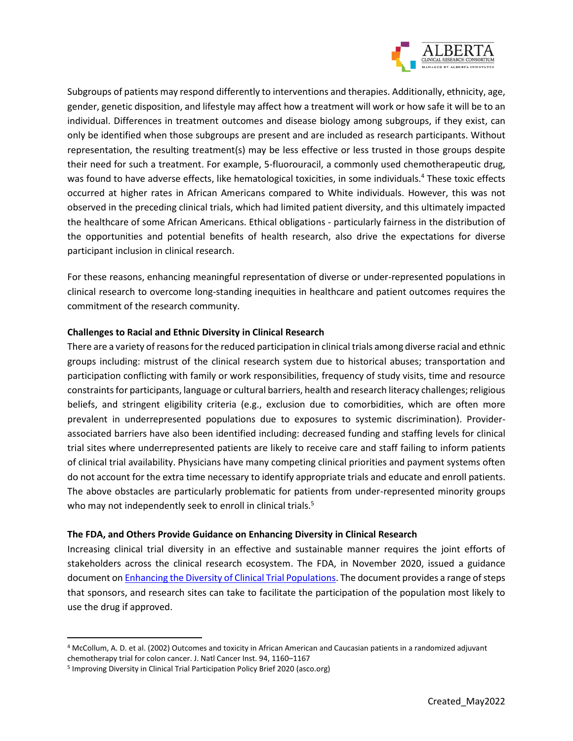

Subgroups of patients may respond differently to interventions and therapies. Additionally, ethnicity, age, gender, genetic disposition, and lifestyle may affect how a treatment will work or how safe it will be to an individual. Differences in treatment outcomes and disease biology among subgroups, if they exist, can only be identified when those subgroups are present and are included as research participants. Without representation, the resulting treatment(s) may be less effective or less trusted in those groups despite their need for such a treatment. For example, 5-fluorouracil, a commonly used chemotherapeutic drug, was found to have adverse effects, like hematological toxicities, in some individuals.<sup>4</sup> These toxic effects occurred at higher rates in African Americans compared to White individuals. However, this was not observed in the preceding clinical trials, which had limited patient diversity, and this ultimately impacted the healthcare of some African Americans. Ethical obligations - particularly fairness in the distribution of the opportunities and potential benefits of health research, also drive the expectations for diverse participant inclusion in clinical research.

For these reasons, enhancing meaningful representation of diverse or under-represented populations in clinical research to overcome long-standing inequities in healthcare and patient outcomes requires the commitment of the research community.

# **Challenges to Racial and Ethnic Diversity in Clinical Research**

There are a variety of reasons for the reduced participation in clinical trials among diverse racial and ethnic groups including: mistrust of the clinical research system due to historical abuses; transportation and participation conflicting with family or work responsibilities, frequency of study visits, time and resource constraints for participants, language or cultural barriers, health and research literacy challenges; religious beliefs, and stringent eligibility criteria (e.g., exclusion due to comorbidities, which are often more prevalent in underrepresented populations due to exposures to systemic discrimination). Providerassociated barriers have also been identified including: decreased funding and staffing levels for clinical trial sites where underrepresented patients are likely to receive care and staff failing to inform patients of clinical trial availability. Physicians have many competing clinical priorities and payment systems often do not account for the extra time necessary to identify appropriate trials and educate and enroll patients. The above obstacles are particularly problematic for patients from under-represented minority groups who may not independently seek to enroll in clinical trials.<sup>5</sup>

# **The FDA, and Others Provide Guidance on Enhancing Diversity in Clinical Research**

Increasing clinical trial diversity in an effective and sustainable manner requires the joint efforts of stakeholders across the clinical research ecosystem. The FDA, in November 2020, issued a guidance document on [Enhancing the Diversity of Clinical Trial Populations.](https://www.fda.gov/media/127712/download) The document provides a range of steps that sponsors, and research sites can take to facilitate the participation of the population most likely to use the drug if approved.

<sup>4</sup> McCollum, A. D. et al. (2002) Outcomes and toxicity in African American and Caucasian patients in a randomized adjuvant chemotherapy trial for colon cancer. J. Natl Cancer Inst. 94, 1160–1167

<sup>&</sup>lt;sup>5</sup> Improving Diversity in Clinical Trial Participation Policy Brief 2020 (asco.org)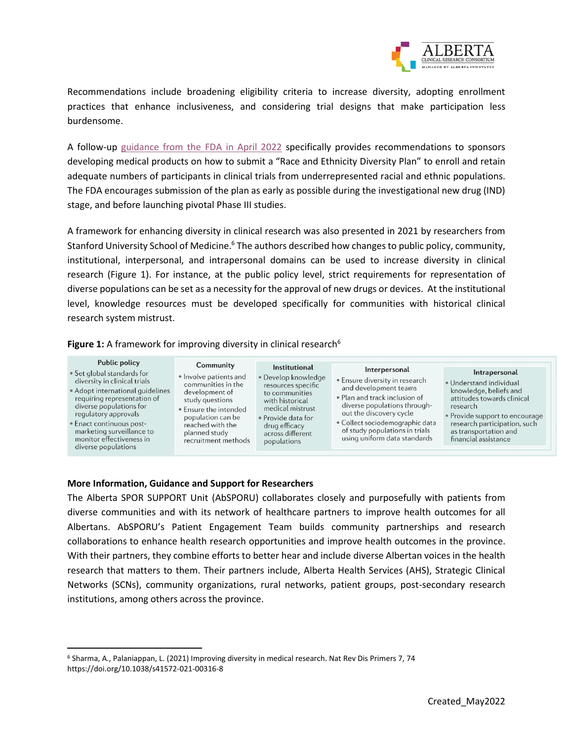

Recommendations include broadening eligibility criteria to increase diversity, adopting enrollment practices that enhance inclusiveness, and considering trial designs that make participation less burdensome.

A follow-up guidance [from the FDA in April 2022](https://www.fda.gov/regulatory-information/search-fda-guidance-documents/diversity-plans-improve-enrollment-participants-underrepresented-racial-and-ethnic-populations) specifically provides recommendations to sponsors developing medical products on how to submit a "Race and Ethnicity Diversity Plan" to enroll and retain adequate numbers of participants in clinical trials from underrepresented racial and ethnic populations. The FDA encourages submission of the plan as early as possible during the investigational new drug (IND) stage, and before launching pivotal Phase III studies.

A framework for enhancing diversity in clinical research was also presented in 2021 by researchers from Stanford University School of Medicine.<sup>6</sup> The authors described how changes to public policy, community, institutional, interpersonal, and intrapersonal domains can be used to increase diversity in clinical research (Figure 1). For instance, at the public policy level, strict requirements for representation of diverse populations can be set as a necessity for the approval of new drugs or devices. At the institutional level, knowledge resources must be developed specifically for communities with historical clinical research system mistrust.

**Figure 1:** A framework for improving diversity in clinical research<sup>6</sup>

| <b>Public policy</b><br>• Set global standards for<br>diversity in clinical trials<br>• Adopt international quidelines<br>requiring representation of<br>diverse populations for<br>requlatory approvals<br>· Enact continuous post-<br>marketing surveillance to<br>monitor effectiveness in<br>diverse populations | Community<br>• Involve patients and<br>communities in the<br>development of<br>study questions<br>. Ensure the intended<br>population can be<br>reached with the<br>planned study<br>recruitment methods | Institutional<br>· Develop knowledge<br>resources specific<br>to communities<br>with historical<br>medical mistrust<br>· Provide data for<br>drug efficacy<br>across different<br>populations | Interpersonal<br>. Ensure diversity in research<br>and development teams<br>• Plan and track inclusion of<br>diverse populations through-<br>out the discovery cycle<br>· Collect sociodemographic data<br>of study populations in trials<br>using uniform data standards | Intrapersonal<br>· Understand individual<br>knowledge, beliefs and<br>attitudes towards clinical<br>research<br>• Provide support to encourage<br>research participation, such<br>as transportation and<br>financial assistance |
|----------------------------------------------------------------------------------------------------------------------------------------------------------------------------------------------------------------------------------------------------------------------------------------------------------------------|----------------------------------------------------------------------------------------------------------------------------------------------------------------------------------------------------------|-----------------------------------------------------------------------------------------------------------------------------------------------------------------------------------------------|---------------------------------------------------------------------------------------------------------------------------------------------------------------------------------------------------------------------------------------------------------------------------|---------------------------------------------------------------------------------------------------------------------------------------------------------------------------------------------------------------------------------|
|----------------------------------------------------------------------------------------------------------------------------------------------------------------------------------------------------------------------------------------------------------------------------------------------------------------------|----------------------------------------------------------------------------------------------------------------------------------------------------------------------------------------------------------|-----------------------------------------------------------------------------------------------------------------------------------------------------------------------------------------------|---------------------------------------------------------------------------------------------------------------------------------------------------------------------------------------------------------------------------------------------------------------------------|---------------------------------------------------------------------------------------------------------------------------------------------------------------------------------------------------------------------------------|

### **More Information, Guidance and Support for Researchers**

The Alberta SPOR SUPPORT Unit (AbSPORU) collaborates closely and purposefully with patients from diverse communities and with its network of healthcare partners to improve health outcomes for all Albertans. AbSPORU's Patient Engagement Team builds community partnerships and research collaborations to enhance health research opportunities and improve health outcomes in the province. With their partners, they combine efforts to better hear and include diverse Albertan voices in the health research that matters to them. Their partners include, Alberta Health Services (AHS), Strategic Clinical Networks (SCNs), community organizations, rural networks, patient groups, post-secondary research institutions, among others across the province.

<sup>6</sup> Sharma, A., Palaniappan, L. (2021) Improving diversity in medical research. Nat Rev Dis Primers 7, 74 https://doi.org/10.1038/s41572-021-00316-8